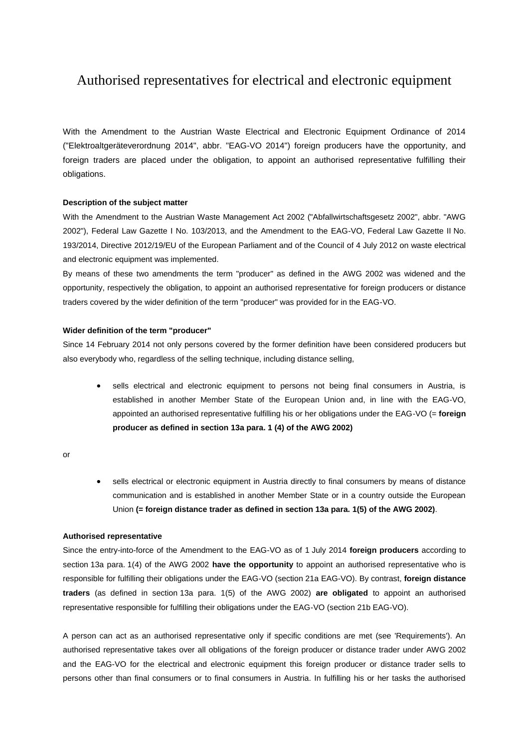# Authorised representatives for electrical and electronic equipment

With the Amendment to the Austrian Waste Electrical and Electronic Equipment Ordinance of 2014 ("Elektroaltgeräteverordnung 2014", abbr. "EAG-VO 2014") foreign producers have the opportunity, and foreign traders are placed under the obligation, to appoint an authorised representative fulfilling their obligations.

# **Description of the subject matter**

With the Amendment to the Austrian Waste Management Act 2002 ("Abfallwirtschaftsgesetz 2002", abbr. "AWG 2002"), Federal Law Gazette I No. 103/2013, and the Amendment to the EAG-VO, Federal Law Gazette II No. 193/2014, Directive 2012/19/EU of the European Parliament and of the Council of 4 July 2012 on waste electrical and electronic equipment was implemented.

By means of these two amendments the term "producer" as defined in the AWG 2002 was widened and the opportunity, respectively the obligation, to appoint an authorised representative for foreign producers or distance traders covered by the wider definition of the term "producer" was provided for in the EAG-VO.

# **Wider definition of the term "producer"**

Since 14 February 2014 not only persons covered by the former definition have been considered producers but also everybody who, regardless of the selling technique, including distance selling,

 sells electrical and electronic equipment to persons not being final consumers in Austria, is established in another Member State of the European Union and, in line with the EAG-VO, appointed an authorised representative fulfilling his or her obligations under the EAG-VO (= **foreign producer as defined in section 13a para. 1 (4) of the AWG 2002)**

or

sells electrical or electronic equipment in Austria directly to final consumers by means of distance communication and is established in another Member State or in a country outside the European Union **(= foreign distance trader as defined in section 13a para. 1(5) of the AWG 2002)**.

# **Authorised representative**

Since the entry-into-force of the Amendment to the EAG-VO as of 1 July 2014 **foreign producers** according to section 13a para. 1(4) of the AWG 2002 **have the opportunity** to appoint an authorised representative who is responsible for fulfilling their obligations under the EAG-VO (section 21a EAG-VO). By contrast, **foreign distance traders** (as defined in section 13a para. 1(5) of the AWG 2002) **are obligated** to appoint an authorised representative responsible for fulfilling their obligations under the EAG-VO (section 21b EAG-VO).

A person can act as an authorised representative only if specific conditions are met (see 'Requirements'). An authorised representative takes over all obligations of the foreign producer or distance trader under AWG 2002 and the EAG-VO for the electrical and electronic equipment this foreign producer or distance trader sells to persons other than final consumers or to final consumers in Austria. In fulfilling his or her tasks the authorised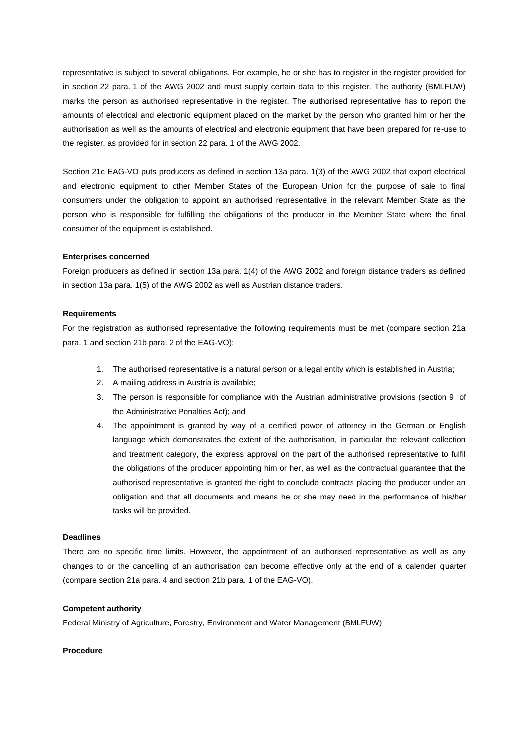representative is subject to several obligations. For example, he or she has to register in the register provided for in section 22 para. 1 of the AWG 2002 and must supply certain data to this register. The authority (BMLFUW) marks the person as authorised representative in the register. The authorised representative has to report the amounts of electrical and electronic equipment placed on the market by the person who granted him or her the authorisation as well as the amounts of electrical and electronic equipment that have been prepared for re-use to the register, as provided for in section 22 para. 1 of the AWG 2002.

Section 21c EAG-VO puts producers as defined in section 13a para. 1(3) of the AWG 2002 that export electrical and electronic equipment to other Member States of the European Union for the purpose of sale to final consumers under the obligation to appoint an authorised representative in the relevant Member State as the person who is responsible for fulfilling the obligations of the producer in the Member State where the final consumer of the equipment is established.

# **Enterprises concerned**

Foreign producers as defined in section 13a para. 1(4) of the AWG 2002 and foreign distance traders as defined in section 13a para. 1(5) of the AWG 2002 as well as Austrian distance traders.

# **Requirements**

For the registration as authorised representative the following requirements must be met (compare section 21a para. 1 and section 21b para. 2 of the EAG-VO):

- 1. The authorised representative is a natural person or a legal entity which is established in Austria;
- 2. A mailing address in Austria is available;
- 3. The person is responsible for compliance with the Austrian administrative provisions (section 9 of the Administrative Penalties Act); and
- 4. The appointment is granted by way of a certified power of attorney in the German or English language which demonstrates the extent of the authorisation, in particular the relevant collection and treatment category, the express approval on the part of the authorised representative to fulfil the obligations of the producer appointing him or her, as well as the contractual guarantee that the authorised representative is granted the right to conclude contracts placing the producer under an obligation and that all documents and means he or she may need in the performance of his/her tasks will be provided.

# **Deadlines**

There are no specific time limits. However, the appointment of an authorised representative as well as any changes to or the cancelling of an authorisation can become effective only at the end of a calender quarter (compare section 21a para. 4 and section 21b para. 1 of the EAG-VO).

# **Competent authority**

Federal Ministry of Agriculture, Forestry, Environment and Water Management (BMLFUW)

# **Procedure**